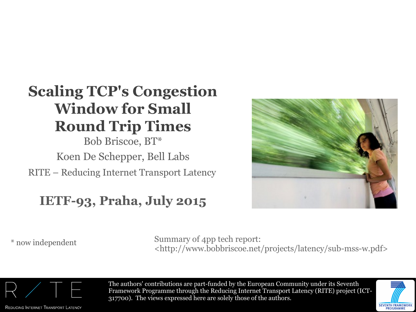## **Scaling TCP's Congestion Window for Small Round Trip Times**

RITE – Reducing Internet Transport Latency Bob Briscoe, BT\* Koen De Schepper, Bell Labs

#### **IETF-93, Praha, July 2015**



\* now independent Summary of 4pp tech report: <http://www.bobbriscoe.net/projects/latency/sub-mss-w.pdf>



REDUCING INTERNET TRANSPORT LATENCY

The authors' contributions are part-funded by the European Community under its Seventh Framework Programme through the Reducing Internet Transport Latency (RITE) project (ICT-317700). The views expressed here are solely those of the authors.

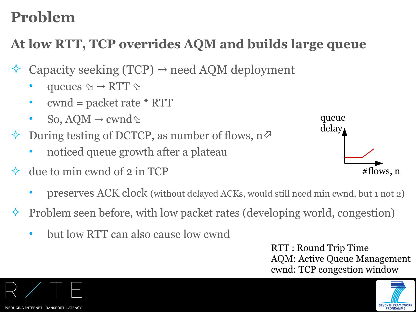## **Problem**

### **At low RTT, TCP overrides AQM and builds large queue**

- Capacity seeking (TCP)  $\rightarrow$  need AQM deployment
	- queues  $\Diamond \rightarrow RTT \Diamond$
	- cwnd = packet rate \* RTT
	- So, AQM  $\rightarrow$  cwnd  $\otimes$
- $\Diamond$  During testing of DCTCP, as number of flows,  $n \Diamond$ 
	- noticed queue growth after a plateau
- $\Diamond$  due to min cwnd of 2 in TCP
	- preserves ACK clock (without delayed ACKs, would still need min cwnd, but 1 not 2)
- Problem seen before, with low packet rates (developing world, congestion)
	- but low RTT can also cause low cwnd

RTT : Round Trip Time AQM: Active Queue Management cwnd: TCP congestion window



REDUCING INTERNET TRANSPORT LATENCY

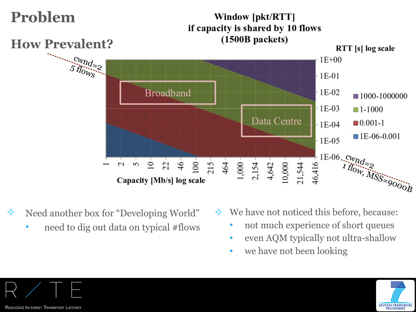

- $\Diamond$  Need another box for "Developing World"
	- need to dig out data on typical #flows
- $\leftrightarrow$  We have not noticed this before, because:
	- not much experience of short queues
	- even AQM typically not ultra-shallow
	- we have not been looking



REDUCING INTERNET TRANSPORT LATENCY

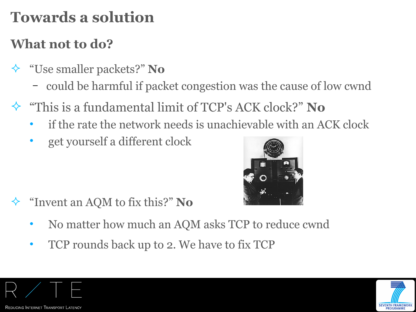## **Towards a solution**

### **What not to do?**

- "Use smaller packets?" **No**
	- could be harmful if packet congestion was the cause of low cwnd
- "This is a fundamental limit of TCP's ACK clock?" **No**
	- if the rate the network needs is unachievable with an ACK clock
	- get yourself a different clock



- "Invent an AQM to fix this?" **No** 
	- No matter how much an AQM asks TCP to reduce cwnd
	- TCP rounds back up to 2. We have to fix TCP



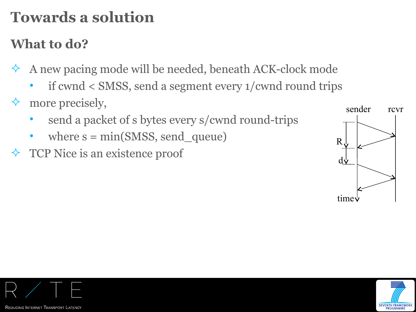# **Towards a solution**

### **What to do?**

- $\leftrightarrow$  A new pacing mode will be needed, beneath ACK-clock mode
	- if cwnd < SMSS, send a segment every 1/cwnd round trips
- $\Diamond$  more precisely,
	- send a packet of s bytes every s/cwnd round-trips
	- where  $s = min(SMSS, send\_queue)$
- $\Diamond$  TCP Nice is an existence proof